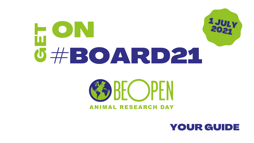## ON  $\frac{1}{2}$  $\mathbf{\Pi}$  $\Box$ #BOARD21

# SE DE OPEN **ANIMAL RESEARCH DAY**





## YOUR GUIDE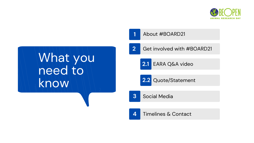### About #BOARD21

# What you need to know

- Get involved with #BOARD21
	- **2.1** EARA Q&A video
- 2.2 Quote/Statement
	-
- **4** Timelines & Contact



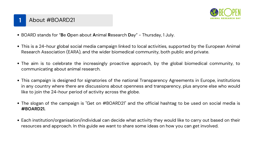### **1** About #BOARD21

- BOARD stands for "**B**e **O**pen about **A**nimal **R**esearch **D**ay" Thursday, 1 July.
- This is a 24-hour global social media campaign linked to local activities, supported by the European Animal Research Association (EARA), and the wider biomedical community, both public and private.
- The aim is to celebrate the increasingly proactive approach, by the global biomedical community, to communicating about animal research.
- This campaign is designed for signatories of the national [Transparency](https://www.eara.eu/transparency-agreements) Agreements in Europe, institutions in any country where there are discussions about openness and transparency, plus anyone else who would like to join the 24-hour period of activity across the globe.
- The slogan of the campaign is "Get on #BOARD21" and the official hashtag to be used on social media is **#BOARD21.**
- Each institution/organisation/individual can decide what activity they would like to carry out based on their resources and approach. In this guide we want to share some ideas on how you can get involved.

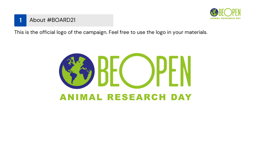

This is the official logo of the campaign. Feel free to use the logo in your materials.



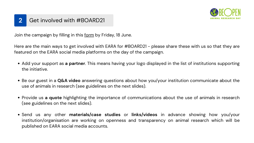Join the campaign by filling in this [form](https://docs.google.com/forms/d/e/1FAIpQLSf0K54dr1H8V_hpMWibyLesZ2nr74zyTpwXMD1t2PB7ygnFWg/viewform?usp=sf_link) by Friday, 18 June.

- Add your support as **a partner**. This means having your logo displayed in the list of institutions supporting the initiative.
- Be our guest in a **Q&A video** answering questions about how you/your institution communicate about the use of animals in research (see guidelines on the next slides).
- Provide us a quote highlighting the importance of communications about the use of animals in research (see guidelines on the next slides).
- Send us any other **materials/case studies** or **links/videos** in advance showing how you/your institution/organisation are working on openness and transparency on animal research which will be published on EARA social media accounts.



Here are the main ways to get involved with EARA for #BOARD21 - please share these with us so that they are featured on the EARA social media platforms on the day of the campaign.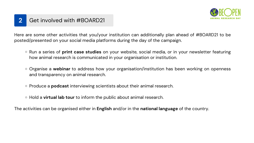- Run a series of **print case studies** on your website, social media, or in your newsletter featuring how animal research is communicated in your organisation or institution.
- Organise a **webinar** to address how your organisation/institution has been working on openness and transparency on animal research.
- o Produce a **podcast** interviewing scientists about their animal research.
- Hold a **virtual lab tour** to inform the public about animal research.

Here are some other activities that you/your institution can additionally plan ahead of #BOARD21 to be posted/presented on your social media platforms during the day of the campaign.

The activities can be organised either in **English** and/or in the **national language** of the country.

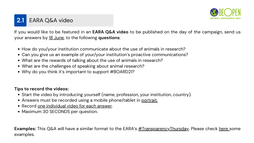- How do you/your institution communicate about the use of animals in research?
- Can you give us an example of your/your institution's proactive communications?
- What are the rewards of talking about the use of animals in research?
- What are the challenges of speaking about animal research?
- Why do you think it's important to support #BOARD21?

If you would like to be featured in an **EARA Q&A video** to be published on the day of the campaign, send us your answers by 18 June, to the following **questions**:

### **Tips to record the videos:**

- Start the video by introducing yourself (name, profession, your institution, country).
- Answers must be recorded using a mobile phone/tablet in portrait.
- Record one individual video for each answer.
- Maximum 30 SECONDS per question.

**Examples:** This Q&A will have a similar format to the EARA's [#TransparencyThursday](https://www.eara.eu/post/transparencythursday). Please check [here](https://www.youtube.com/watch?v=_k3GdM9Y1PI&list=PL1FpZbGkcq6heGx073HDPhhx27rWE9vK7) some examples.



### **2.1** EARA Q&A video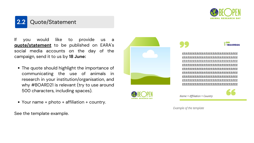- The quote should highlight the importance of communicating the use of animals in research in your institution/organisation, and why #BOARD21 is relevant (try to use around 500 characters, including spaces).
- 



• Your name + photo + affiliation + country.

If you would like to provide us a **quote/statement** to be published on EARA' s social media accounts on the day of the campaign, send it to us by **18 June:**

See the template example.







Name + Affiliation + Country

*Example of the template*

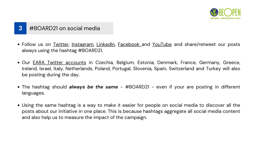- Follow us on <u>[Twitter](https://twitter.com/home)</u>, <u>[Instagram](https://www.instagram.com/the.eara/)</u>, [LinkedIn,](https://www.linkedin.com/company/european-animal-research-association) [Facebook](https://www.facebook.com/The.EARA/) and [YouTube](https://www.youtube.com/channel/UCyfjNg13u_XjfL2GgHkEyRA) [a](https://www.youtube.com/channel/UCyfjNg13u_XjfL2GgHkEyRA)nd share/retweet our posts always using the hashtag #BOARD21.
- Our <u>EARA Twitter [accounts](https://www.eara.eu/media-information)</u> in Czechia, Belgium, Estonia, Denmark, France, Germany, Greece, Ireland, Israel, Italy, Netherlands, Poland, Portugal, Slovenia, Spain, Switzerland and Turkey will also be posting during the day.
- The hashtag should *always be the same #BOARD21 even if your are posting in different* languages.
- Using the same hashtag is a way to make it easier for people on social media to discover all the posts about our initiative in one place. This is because hashtags aggregate all social media content and also help us to measure the impact of the campaign.



### **3** #BOARD21 on social media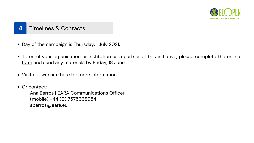Ana Barros | EARA Communications Officer (mobile) +44 (0) 7575668954 abarros@eara.eu



### **4** Timelines & Contacts

- Day of the campaign is Thursday, 1 July 2021.
- To enrol your organisation or institution as a partner of this initiative, please complete the online [form](https://docs.google.com/forms/d/e/1FAIpQLSf0K54dr1H8V_hpMWibyLesZ2nr74zyTpwXMD1t2PB7ygnFWg/viewform) and send any materials by Friday, 18 June.
- Visit our website [here](https://www.eara.eu/get-on-board21) for more information.
- Or contact: